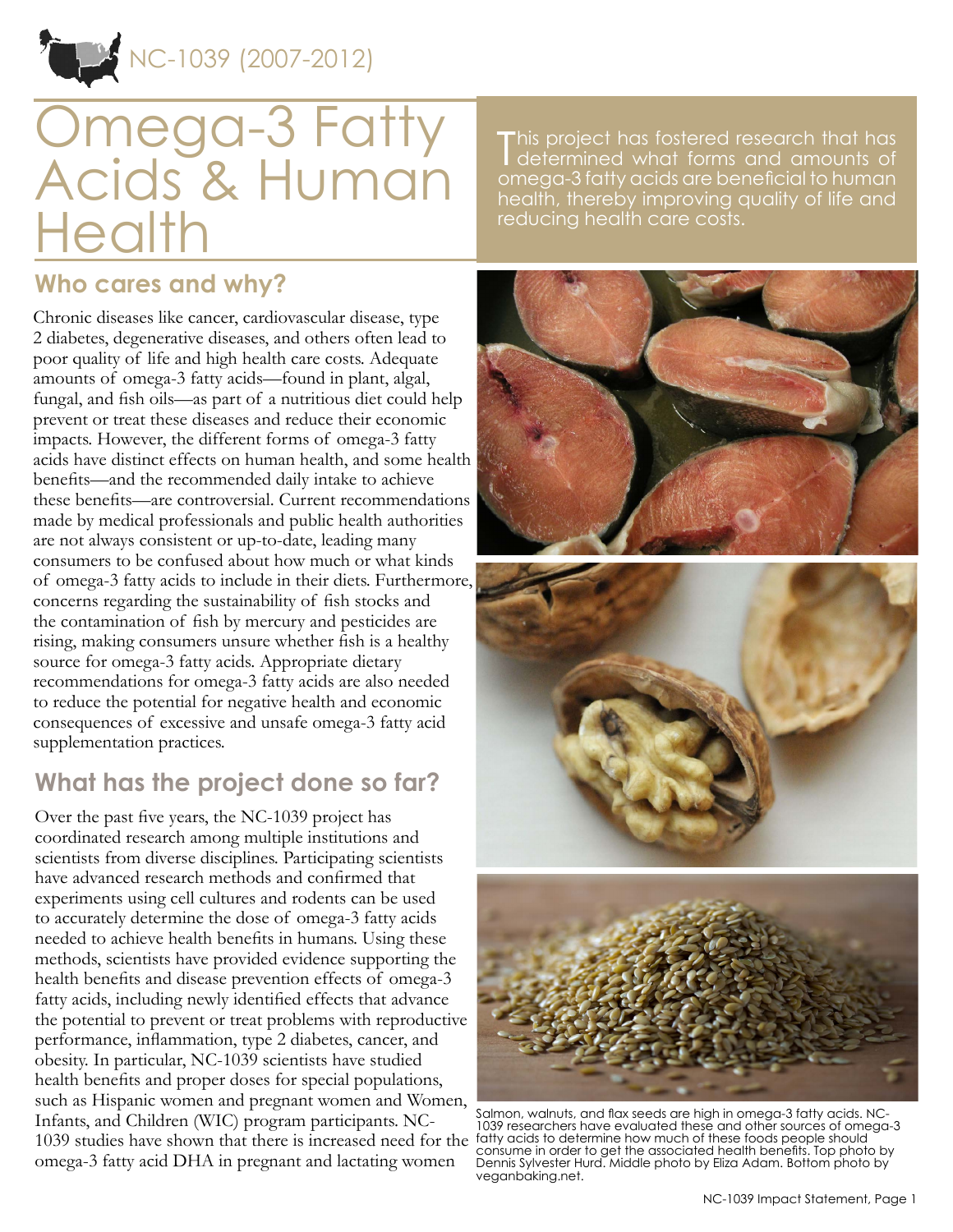NC-1039 (2007-2012)

# Omega-3 Fatty Acids & Human **Health**

This project has fostered research that has<br>determined what forms and amounts of determined what forms and amounts of omega-3 fatty acids are beneficial to human health, thereby improving quality of life and reducing health care costs.

## **Who cares and why?**

Chronic diseases like cancer, cardiovascular disease, type 2 diabetes, degenerative diseases, and others often lead to poor quality of life and high health care costs. Adequate amounts of omega-3 fatty acids—found in plant, algal, fungal, and fish oils—as part of a nutritious diet could help prevent or treat these diseases and reduce their economic impacts. However, the different forms of omega-3 fatty acids have distinct effects on human health, and some health benefits—and the recommended daily intake to achieve these benefits—are controversial. Current recommendations made by medical professionals and public health authorities are not always consistent or up-to-date, leading many consumers to be confused about how much or what kinds of omega-3 fatty acids to include in their diets. Furthermore, concerns regarding the sustainability of fish stocks and the contamination of fish by mercury and pesticides are rising, making consumers unsure whether fish is a healthy source for omega-3 fatty acids. Appropriate dietary recommendations for omega-3 fatty acids are also needed to reduce the potential for negative health and economic consequences of excessive and unsafe omega-3 fatty acid supplementation practices.

## **What has the project done so far?**

Over the past five years, the NC-1039 project has coordinated research among multiple institutions and scientists from diverse disciplines. Participating scientists have advanced research methods and confirmed that experiments using cell cultures and rodents can be used to accurately determine the dose of omega-3 fatty acids needed to achieve health benefits in humans. Using these methods, scientists have provided evidence supporting the health benefits and disease prevention effects of omega-3 fatty acids, including newly identified effects that advance the potential to prevent or treat problems with reproductive performance, inflammation, type 2 diabetes, cancer, and obesity. In particular, NC-1039 scientists have studied health benefits and proper doses for special populations, such as Hispanic women and pregnant women and Women, Infants, and Children (WIC) program participants. NC-1039 studies have shown that there is increased need for the fatty acids to determine how much of these foods people should omega-3 fatty acid DHA in pregnant and lactating women







Salmon, walnuts, and flax seeds are high in omega-3 fatty acids. NC-1039 researchers have evaluated these and other sources of omega-3 consume in order to get the associated health benefits. Top photo by Dennis Sylvester Hurd. Middle photo by Eliza Adam. Bottom photo by veganbaking.net.